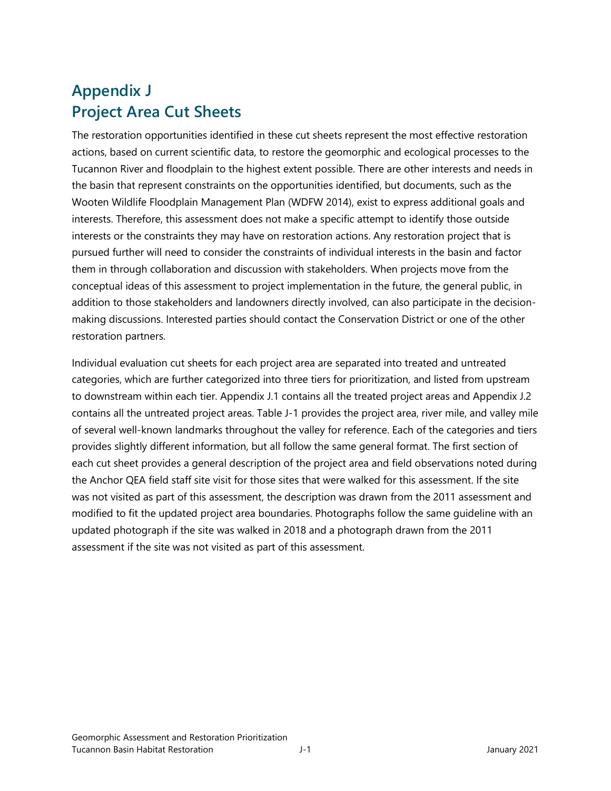## **Appendix J Project Area Cut Sheets**

The restoration opportunities identified in these cut sheets represent the most effective restoration actions, based on current scientific data, to restore the geomorphic and ecological processes to the Tucannon River and floodplain to the highest extent possible. There are other interests and needs in the basin that represent constraints on the opportunities identified, but documents, such as the Wooten Wildlife Floodplain Management Plan (WDFW 2014), exist to express additional goals and interests. Therefore, this assessment does not make a specific attempt to identify those outside interests or the constraints they may have on restoration actions. Any restoration project that is pursued further will need to consider the constraints of individual interests in the basin and factor them in through collaboration and discussion with stakeholders. When projects move from the conceptual ideas of this assessment to project implementation in the future, the general public, in addition to those stakeholders and landowners directly involved, can also participate in the decisionmaking discussions. Interested parties should contact the Conservation District or one of the other restoration partners.

Individual evaluation cut sheets for each project area are separated into treated and untreated categories, which are further categorized into three tiers for prioritization, and listed from upstream to downstream within each tier. Appendix J.1 contains all the treated project areas and Appendix J.2 contains all the untreated project areas. Table J-1 provides the project area, river mile, and valley mile of several well-known landmarks throughout the valley for reference. Each of the categories and tiers provides slightly different information, but all follow the same general format. The first section of each cut sheet provides a general description of the project area and field observations noted during the Anchor QEA field staff site visit for those sites that were walked for this assessment. If the site was not visited as part of this assessment, the description was drawn from the 2011 assessment and modified to fit the updated project area boundaries. Photographs follow the same guideline with an updated photograph if the site was walked in 2018 and a photograph drawn from the 2011 assessment if the site was not visited as part of this assessment.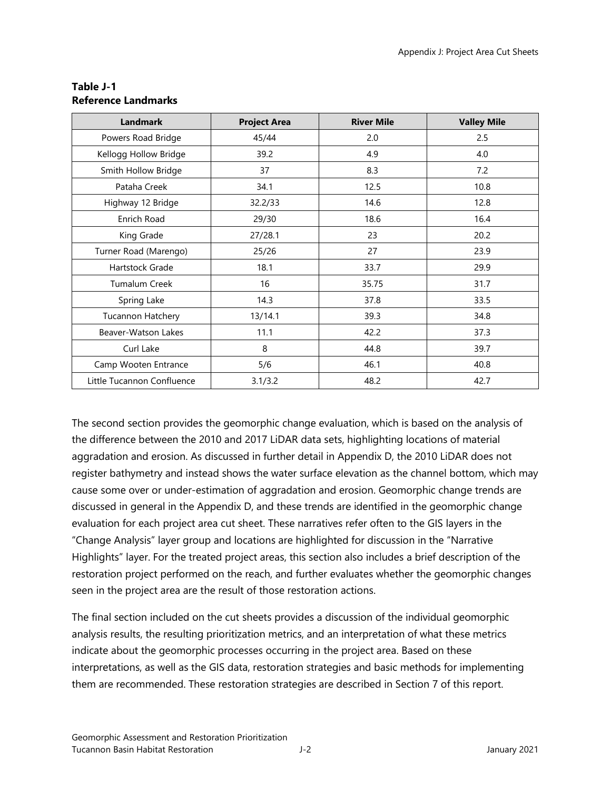| <b>Landmark</b>            | <b>Project Area</b> | <b>River Mile</b> | <b>Valley Mile</b> |
|----------------------------|---------------------|-------------------|--------------------|
| Powers Road Bridge         | 45/44               | 2.0               | 2.5                |
| Kellogg Hollow Bridge      | 39.2                | 4.9               | 4.0                |
| Smith Hollow Bridge        | 37                  | 8.3               | 7.2                |
| Pataha Creek               | 34.1                | 12.5              | 10.8               |
| Highway 12 Bridge          | 32.2/33             | 14.6              | 12.8               |
| Enrich Road                | 29/30               | 18.6              | 16.4               |
| King Grade                 | 27/28.1             | 23                | 20.2               |
| Turner Road (Marengo)      | 25/26               | 27                | 23.9               |
| Hartstock Grade            | 18.1                | 33.7              | 29.9               |
| <b>Tumalum Creek</b>       | 16                  | 35.75             | 31.7               |
| Spring Lake                | 14.3                | 37.8              | 33.5               |
| Tucannon Hatchery          | 13/14.1             | 39.3              | 34.8               |
| Beaver-Watson Lakes        | 11.1                | 42.2              | 37.3               |
| Curl Lake                  | 8                   | 44.8              | 39.7               |
| Camp Wooten Entrance       | 5/6                 | 46.1              | 40.8               |
| Little Tucannon Confluence | 3.1/3.2             | 48.2              | 42.7               |

## **Table J-1 Reference Landmarks**

The second section provides the geomorphic change evaluation, which is based on the analysis of the difference between the 2010 and 2017 LiDAR data sets, highlighting locations of material aggradation and erosion. As discussed in further detail in Appendix D, the 2010 LiDAR does not register bathymetry and instead shows the water surface elevation as the channel bottom, which may cause some over or under-estimation of aggradation and erosion. Geomorphic change trends are discussed in general in the Appendix D, and these trends are identified in the geomorphic change evaluation for each project area cut sheet. These narratives refer often to the GIS layers in the "Change Analysis" layer group and locations are highlighted for discussion in the "Narrative Highlights" layer. For the treated project areas, this section also includes a brief description of the restoration project performed on the reach, and further evaluates whether the geomorphic changes seen in the project area are the result of those restoration actions.

The final section included on the cut sheets provides a discussion of the individual geomorphic analysis results, the resulting prioritization metrics, and an interpretation of what these metrics indicate about the geomorphic processes occurring in the project area. Based on these interpretations, as well as the GIS data, restoration strategies and basic methods for implementing them are recommended. These restoration strategies are described in Section 7 of this report.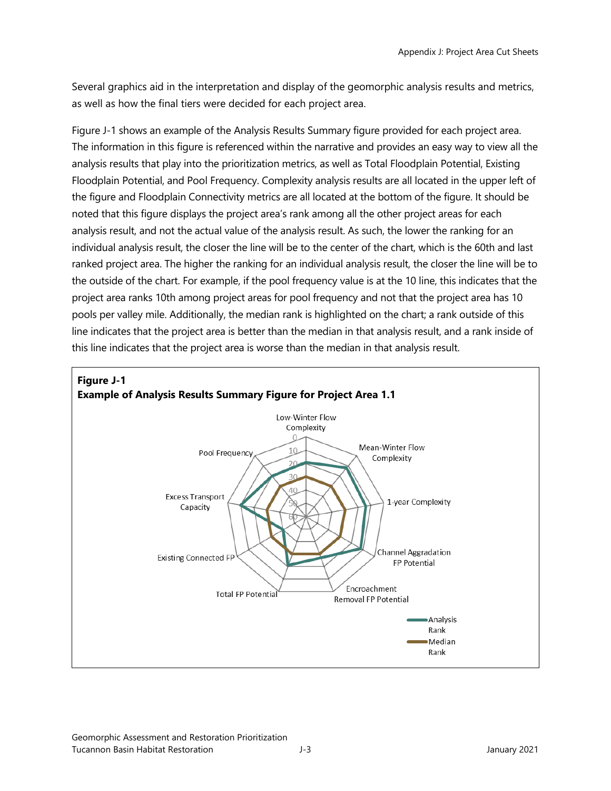Several graphics aid in the interpretation and display of the geomorphic analysis results and metrics, as well as how the final tiers were decided for each project area.

Figure J-1 shows an example of the Analysis Results Summary figure provided for each project area. The information in this figure is referenced within the narrative and provides an easy way to view all the analysis results that play into the prioritization metrics, as well as Total Floodplain Potential, Existing Floodplain Potential, and Pool Frequency. Complexity analysis results are all located in the upper left of the figure and Floodplain Connectivity metrics are all located at the bottom of the figure. It should be noted that this figure displays the project area's rank among all the other project areas for each analysis result, and not the actual value of the analysis result. As such, the lower the ranking for an individual analysis result, the closer the line will be to the center of the chart, which is the 60th and last ranked project area. The higher the ranking for an individual analysis result, the closer the line will be to the outside of the chart. For example, if the pool frequency value is at the 10 line, this indicates that the project area ranks 10th among project areas for pool frequency and not that the project area has 10 pools per valley mile. Additionally, the median rank is highlighted on the chart; a rank outside of this line indicates that the project area is better than the median in that analysis result, and a rank inside of this line indicates that the project area is worse than the median in that analysis result.

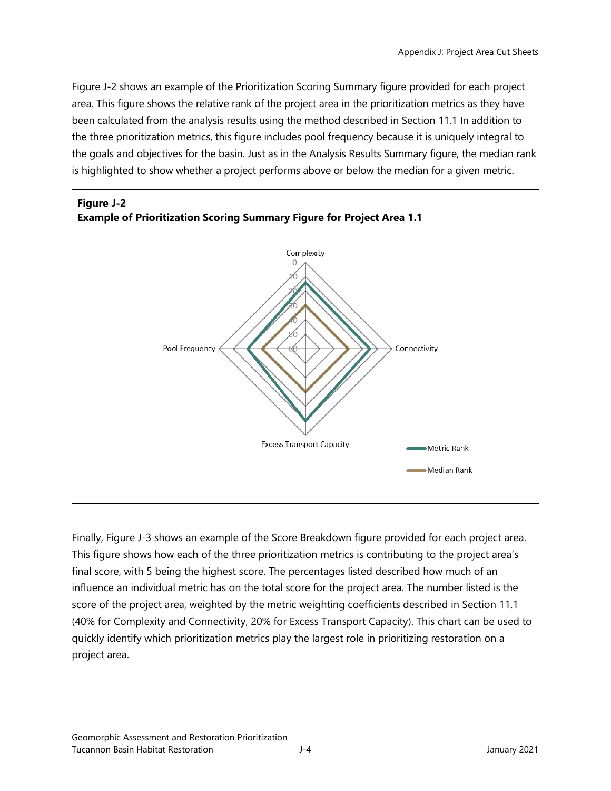Figure J-2 shows an example of the Prioritization Scoring Summary figure provided for each project area. This figure shows the relative rank of the project area in the prioritization metrics as they have been calculated from the analysis results using the method described in Section 11.1 In addition to the three prioritization metrics, this figure includes pool frequency because it is uniquely integral to the goals and objectives for the basin. Just as in the Analysis Results Summary figure, the median rank is highlighted to show whether a project performs above or below the median for a given metric.



Finally, Figure J-3 shows an example of the Score Breakdown figure provided for each project area. This figure shows how each of the three prioritization metrics is contributing to the project area's final score, with 5 being the highest score. The percentages listed described how much of an influence an individual metric has on the total score for the project area. The number listed is the score of the project area, weighted by the metric weighting coefficients described in Section 11.1 (40% for Complexity and Connectivity, 20% for Excess Transport Capacity). This chart can be used to quickly identify which prioritization metrics play the largest role in prioritizing restoration on a project area.